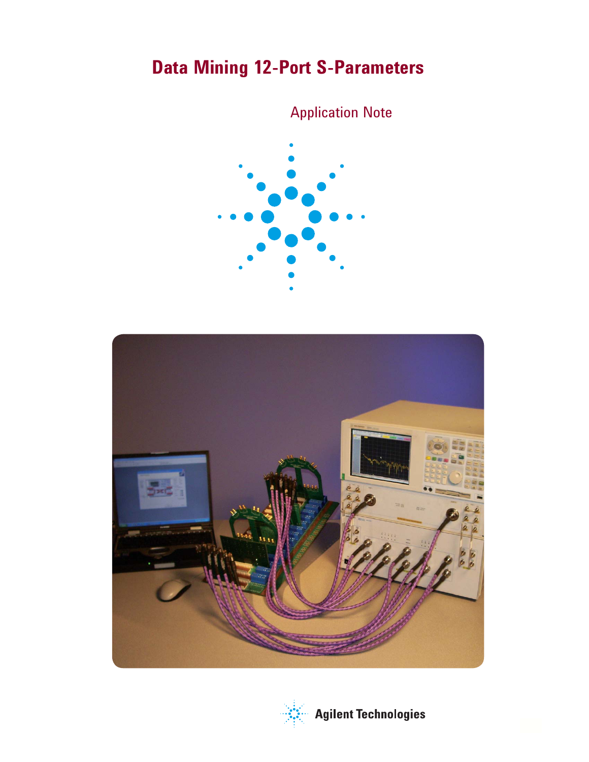# **Data Mining 12-Port S-Parameters**

# Application Note





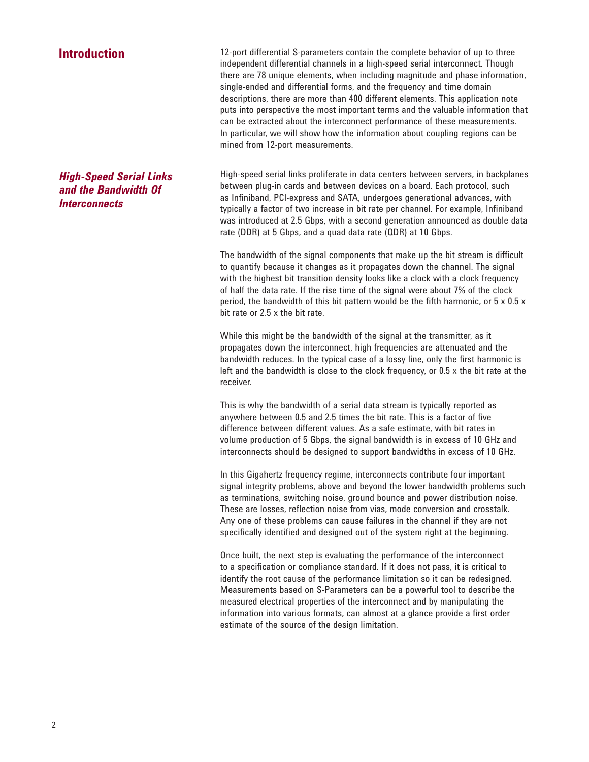# **Introduction**

*High-Speed Serial Links and the Bandwidth Of Interconnects*

12-port differential S-parameters contain the complete behavior of up to three independent differential channels in a high-speed serial interconnect. Though there are 78 unique elements, when including magnitude and phase information, single-ended and differential forms, and the frequency and time domain descriptions, there are more than 400 different elements. This application note puts into perspective the most important terms and the valuable information that can be extracted about the interconnect performance of these measurements. In particular, we will show how the information about coupling regions can be mined from 12-port measurements.

High-speed serial links proliferate in data centers between servers, in backplanes between plug-in cards and between devices on a board. Each protocol, such as Infiniband, PCI-express and SATA, undergoes generational advances, with typically a factor of two increase in bit rate per channel. For example, Infiniband was introduced at 2.5 Gbps, with a second generation announced as double data rate (DDR) at 5 Gbps, and a quad data rate (QDR) at 10 Gbps.

The bandwidth of the signal components that make up the bit stream is difficult to quantify because it changes as it propagates down the channel. The signal with the highest bit transition density looks like a clock with a clock frequency of half the data rate. If the rise time of the signal were about 7% of the clock period, the bandwidth of this bit pattern would be the fifth harmonic, or  $5 \times 0.5 \times$ bit rate or 2.5 x the bit rate.

While this might be the bandwidth of the signal at the transmitter, as it propagates down the interconnect, high frequencies are attenuated and the bandwidth reduces. In the typical case of a lossy line, only the first harmonic is left and the bandwidth is close to the clock frequency, or 0.5 x the bit rate at the receiver.

This is why the bandwidth of a serial data stream is typically reported as anywhere between 0.5 and 2.5 times the bit rate. This is a factor of five difference between different values. As a safe estimate, with bit rates in volume production of 5 Gbps, the signal bandwidth is in excess of 10 GHz and interconnects should be designed to support bandwidths in excess of 10 GHz.

In this Gigahertz frequency regime, interconnects contribute four important signal integrity problems, above and beyond the lower bandwidth problems such as terminations, switching noise, ground bounce and power distribution noise. These are losses, reflection noise from vias, mode conversion and crosstalk. Any one of these problems can cause failures in the channel if they are not specifically identified and designed out of the system right at the beginning.

Once built, the next step is evaluating the performance of the interconnect to a specification or compliance standard. If it does not pass, it is critical to identify the root cause of the performance limitation so it can be redesigned. Measurements based on S-Parameters can be a powerful tool to describe the measured electrical properties of the interconnect and by manipulating the information into various formats, can almost at a glance provide a first order estimate of the source of the design limitation.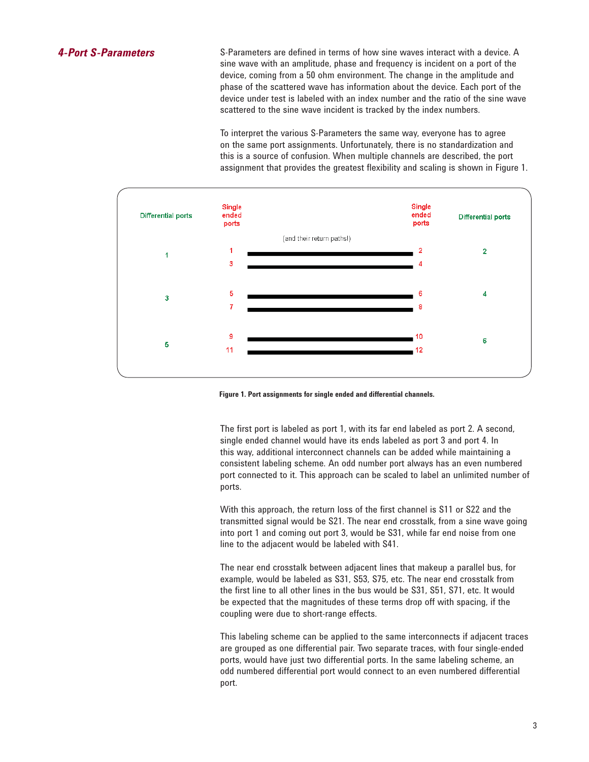S-Parameters are defined in terms of how sine waves interact with a device. A sine wave with an amplitude, phase and frequency is incident on a port of the device, coming from a 50 ohm environment. The change in the amplitude and phase of the scattered wave has information about the device. Each port of the device under test is labeled with an index number and the ratio of the sine wave scattered to the sine wave incident is tracked by the index numbers.

To interpret the various S-Parameters the same way, everyone has to agree on the same port assignments. Unfortunately, there is no standardization and this is a source of confusion. When multiple channels are described, the port assignment that provides the greatest flexibility and scaling is shown in Figure 1.



**Figure 1. Port assignments for single ended and differential channels.**

The first port is labeled as port 1, with its far end labeled as port 2. A second, single ended channel would have its ends labeled as port 3 and port 4. In this way, additional interconnect channels can be added while maintaining a consistent labeling scheme. An odd number port always has an even numbered port connected to it. This approach can be scaled to label an unlimited number of ports.

With this approach, the return loss of the first channel is S11 or S22 and the transmitted signal would be S21. The near end crosstalk, from a sine wave going into port 1 and coming out port 3, would be S31, while far end noise from one line to the adjacent would be labeled with S41.

The near end crosstalk between adjacent lines that makeup a parallel bus, for example, would be labeled as S31, S53, S75, etc. The near end crosstalk from the first line to all other lines in the bus would be S31, S51, S71, etc. It would be expected that the magnitudes of these terms drop off with spacing, if the coupling were due to short-range effects.

This labeling scheme can be applied to the same interconnects if adjacent traces are grouped as one differential pair. Two separate traces, with four single-ended ports, would have just two differential ports. In the same labeling scheme, an odd numbered differential port would connect to an even numbered differential port.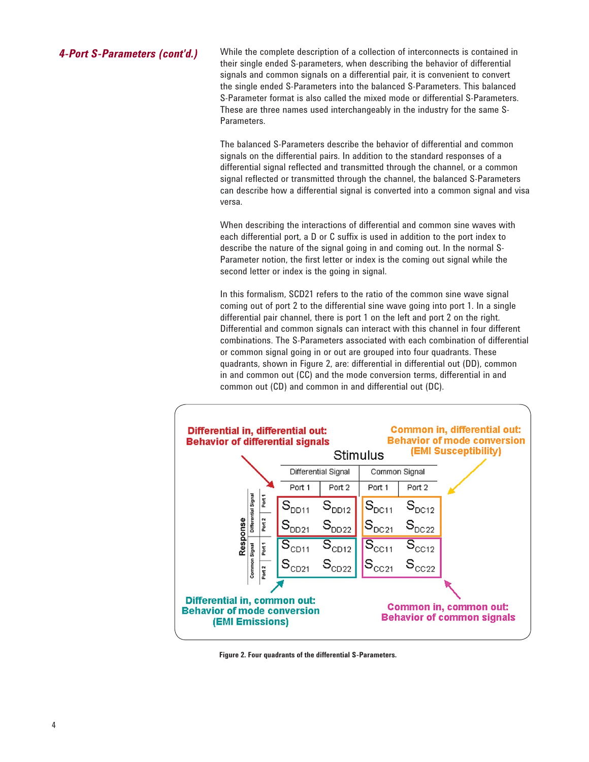*4-Port S-Parameters (cont'd.)* While the complete description of a collection of interconnects is contained in their single ended S-parameters, when describing the behavior of differential signals and common signals on a differential pair, it is convenient to convert the single ended S-Parameters into the balanced S-Parameters. This balanced S-Parameter format is also called the mixed mode or differential S-Parameters. These are three names used interchangeably in the industry for the same S-Parameters.

> The balanced S-Parameters describe the behavior of differential and common signals on the differential pairs. In addition to the standard responses of a differential signal reflected and transmitted through the channel, or a common signal reflected or transmitted through the channel, the balanced S-Parameters can describe how a differential signal is converted into a common signal and visa versa.

When describing the interactions of differential and common sine waves with each differential port, a D or C suffix is used in addition to the port index to describe the nature of the signal going in and coming out. In the normal S-Parameter notion, the first letter or index is the coming out signal while the second letter or index is the going in signal.

In this formalism, SCD21 refers to the ratio of the common sine wave signal coming out of port 2 to the differential sine wave going into port 1. In a single differential pair channel, there is port 1 on the left and port 2 on the right. Differential and common signals can interact with this channel in four different combinations. The S-Parameters associated with each combination of differential or common signal going in or out are grouped into four quadrants. These quadrants, shown in Figure 2, are: differential in differential out (DD), common in and common out (CC) and the mode conversion terms, differential in and common out (CD) and common in and differential out (DC).



**Figure 2. Four quadrants of the differential S-Parameters.**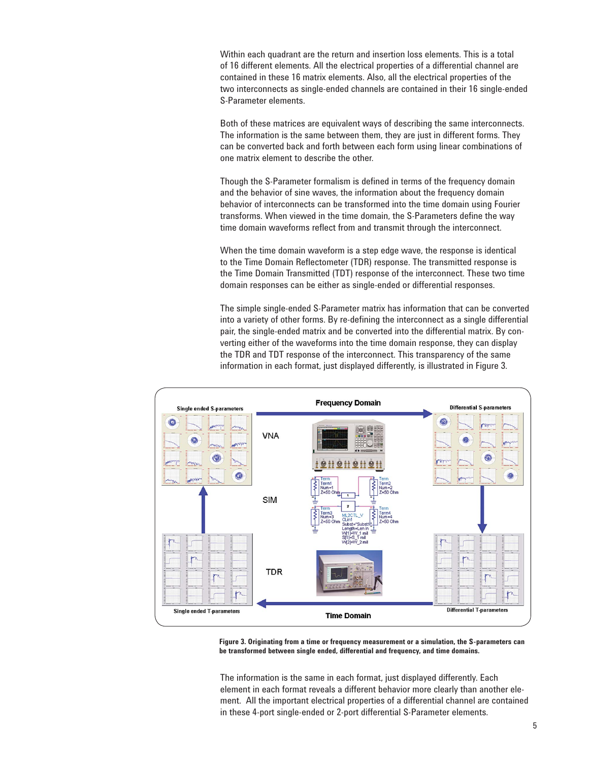Within each quadrant are the return and insertion loss elements. This is a total of 16 different elements. All the electrical properties of a differential channel are contained in these 16 matrix elements. Also, all the electrical properties of the two interconnects as single-ended channels are contained in their 16 single-ended S-Parameter elements.

Both of these matrices are equivalent ways of describing the same interconnects. The information is the same between them, they are just in different forms. They can be converted back and forth between each form using linear combinations of one matrix element to describe the other.

Though the S-Parameter formalism is defined in terms of the frequency domain and the behavior of sine waves, the information about the frequency domain behavior of interconnects can be transformed into the time domain using Fourier transforms. When viewed in the time domain, the S-Parameters define the way time domain waveforms reflect from and transmit through the interconnect.

When the time domain waveform is a step edge wave, the response is identical to the Time Domain Reflectometer (TDR) response. The transmitted response is the Time Domain Transmitted (TDT) response of the interconnect. These two time domain responses can be either as single-ended or differential responses.

The simple single-ended S-Parameter matrix has information that can be converted into a variety of other forms. By re-defining the interconnect as a single differential pair, the single-ended matrix and be converted into the differential matrix. By converting either of the waveforms into the time domain response, they can display the TDR and TDT response of the interconnect. This transparency of the same information in each format, just displayed differently, is illustrated in Figure 3.



**Figure 3. Originating from a time or frequency measurement or a simulation, the S-parameters can be transformed between single ended, differential and frequency, and time domains.**

The information is the same in each format, just displayed differently. Each element in each format reveals a different behavior more clearly than another element. All the important electrical properties of a differential channel are contained in these 4-port single-ended or 2-port differential S-Parameter elements.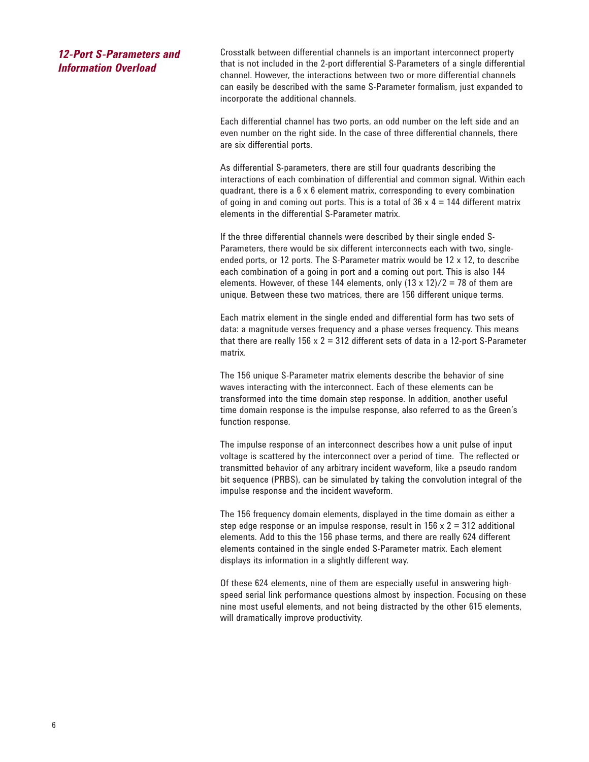# *12-Port S-Parameters and Information Overload*

Crosstalk between differential channels is an important interconnect property that is not included in the 2-port differential S-Parameters of a single differential channel. However, the interactions between two or more differential channels can easily be described with the same S-Parameter formalism, just expanded to incorporate the additional channels.

Each differential channel has two ports, an odd number on the left side and an even number on the right side. In the case of three differential channels, there are six differential ports.

As differential S-parameters, there are still four quadrants describing the interactions of each combination of differential and common signal. Within each quadrant, there is a 6 x 6 element matrix, corresponding to every combination of going in and coming out ports. This is a total of  $36 \times 4 = 144$  different matrix elements in the differential S-Parameter matrix.

If the three differential channels were described by their single ended S-Parameters, there would be six different interconnects each with two, singleended ports, or 12 ports. The S-Parameter matrix would be 12 x 12, to describe each combination of a going in port and a coming out port. This is also 144 elements. However, of these 144 elements, only  $(13 \times 12)/2 = 78$  of them are unique. Between these two matrices, there are 156 different unique terms.

Each matrix element in the single ended and differential form has two sets of data: a magnitude verses frequency and a phase verses frequency. This means that there are really  $156 \times 2 = 312$  different sets of data in a 12-port S-Parameter matrix.

The 156 unique S-Parameter matrix elements describe the behavior of sine waves interacting with the interconnect. Each of these elements can be transformed into the time domain step response. In addition, another useful time domain response is the impulse response, also referred to as the Green's function response.

The impulse response of an interconnect describes how a unit pulse of input voltage is scattered by the interconnect over a period of time. The reflected or transmitted behavior of any arbitrary incident waveform, like a pseudo random bit sequence (PRBS), can be simulated by taking the convolution integral of the impulse response and the incident waveform.

The 156 frequency domain elements, displayed in the time domain as either a step edge response or an impulse response, result in  $156 \times 2 = 312$  additional elements. Add to this the 156 phase terms, and there are really 624 different elements contained in the single ended S-Parameter matrix. Each element displays its information in a slightly different way.

Of these 624 elements, nine of them are especially useful in answering highspeed serial link performance questions almost by inspection. Focusing on these nine most useful elements, and not being distracted by the other 615 elements, will dramatically improve productivity.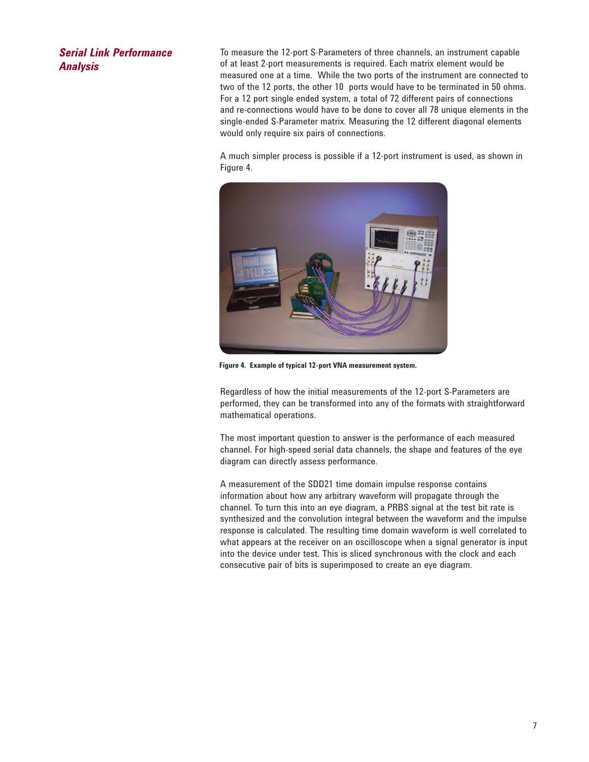## *Serial Link Performance Analysis*

To measure the 12-port S-Parameters of three channels, an instrument capable of at least 2-port measurements is required. Each matrix element would be measured one at a time. While the two ports of the instrument are connected to two of the 12 ports, the other 10 ports would have to be terminated in 50 ohms. For a 12 port single ended system, a total of 72 different pairs of connections and re-connections would have to be done to cover all 78 unique elements in the single-ended S-Parameter matrix. Measuring the 12 different diagonal elements would only require six pairs of connections.

A much simpler process is possible if a 12-port instrument is used, as shown in Figure 4.



**Figure 4. Example of typical 12-port VNA measurement system.**

Regardless of how the initial measurements of the 12-port S-Parameters are performed, they can be transformed into any of the formats with straightforward mathematical operations.

The most important question to answer is the performance of each measured channel. For high-speed serial data channels, the shape and features of the eye diagram can directly assess performance.

A measurement of the SDD21 time domain impulse response contains information about how any arbitrary waveform will propagate through the channel. To turn this into an eye diagram, a PRBS signal at the test bit rate is synthesized and the convolution integral between the waveform and the impulse response is calculated. The resulting time domain waveform is well correlated to what appears at the receiver on an oscilloscope when a signal generator is input into the device under test. This is sliced synchronous with the clock and each consecutive pair of bits is superimposed to create an eye diagram.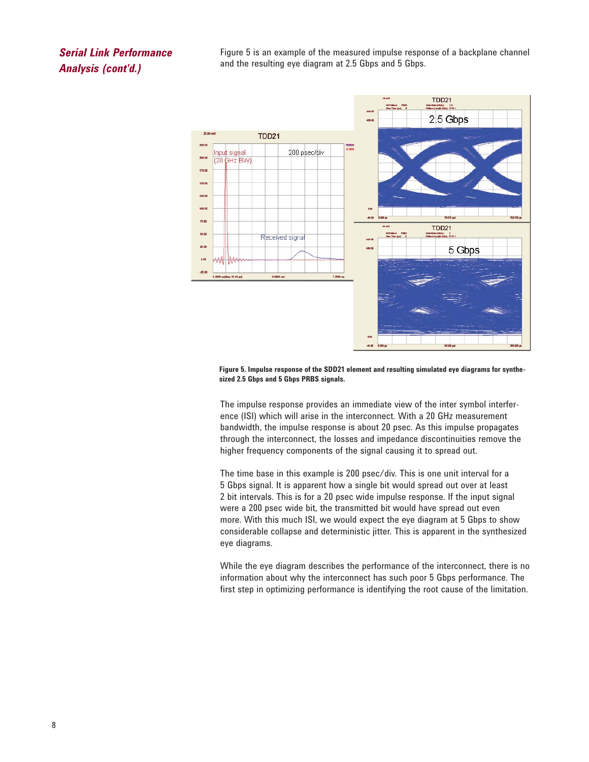# *Serial Link Performance Analysis (cont'd.)*

Figure 5 is an example of the measured impulse response of a backplane channel and the resulting eye diagram at 2.5 Gbps and 5 Gbps.



**Figure 5. Impulse response of the SDD21 element and resulting simulated eye diagrams for synthesized 2.5 Gbps and 5 Gbps PRBS signals.**

The impulse response provides an immediate view of the inter symbol interference (ISI) which will arise in the interconnect. With a 20 GHz measurement bandwidth, the impulse response is about 20 psec. As this impulse propagates through the interconnect, the losses and impedance discontinuities remove the higher frequency components of the signal causing it to spread out.

The time base in this example is 200 psec/div. This is one unit interval for a 5 Gbps signal. It is apparent how a single bit would spread out over at least 2 bit intervals. This is for a 20 psec wide impulse response. If the input signal were a 200 psec wide bit, the transmitted bit would have spread out even more. With this much ISI, we would expect the eye diagram at 5 Gbps to show considerable collapse and deterministic jitter. This is apparent in the synthesized eye diagrams.

While the eye diagram describes the performance of the interconnect, there is no information about why the interconnect has such poor 5 Gbps performance. The first step in optimizing performance is identifying the root cause of the limitation.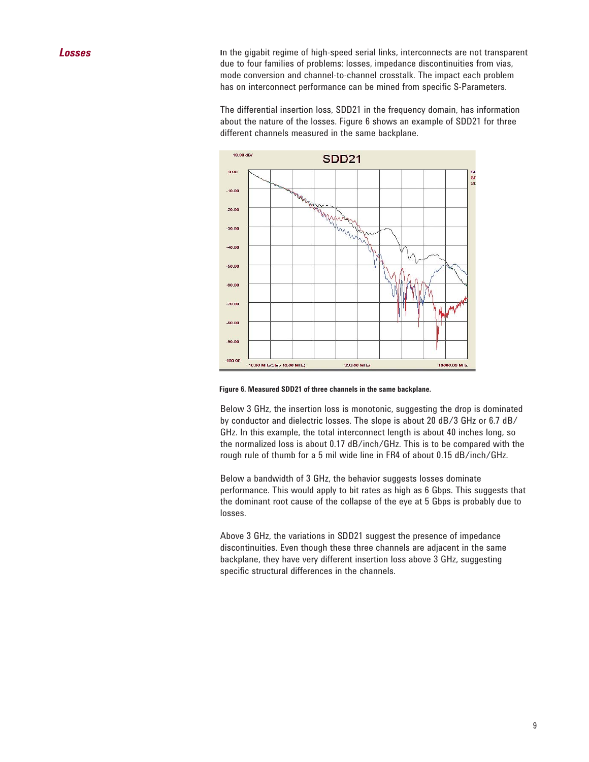**Losses I**n the gigabit regime of high-speed serial links, interconnects are not transparent due to four families of problems: losses, impedance discontinuities from vias, mode conversion and channel-to-channel crosstalk. The impact each problem has on interconnect performance can be mined from specific S-Parameters.

> The differential insertion loss, SDD21 in the frequency domain, has information about the nature of the losses. Figure 6 shows an example of SDD21 for three different channels measured in the same backplane.



**Figure 6. Measured SDD21 of three channels in the same backplane.**

Below 3 GHz, the insertion loss is monotonic, suggesting the drop is dominated by conductor and dielectric losses. The slope is about 20 dB/3 GHz or 6.7 dB/ GHz. In this example, the total interconnect length is about 40 inches long, so the normalized loss is about 0.17 dB/inch/GHz. This is to be compared with the rough rule of thumb for a 5 mil wide line in FR4 of about 0.15 dB/inch/GHz.

Below a bandwidth of 3 GHz, the behavior suggests losses dominate performance. This would apply to bit rates as high as 6 Gbps. This suggests that the dominant root cause of the collapse of the eye at 5 Gbps is probably due to losses.

Above 3 GHz, the variations in SDD21 suggest the presence of impedance discontinuities. Even though these three channels are adjacent in the same backplane, they have very different insertion loss above 3 GHz, suggesting specific structural differences in the channels.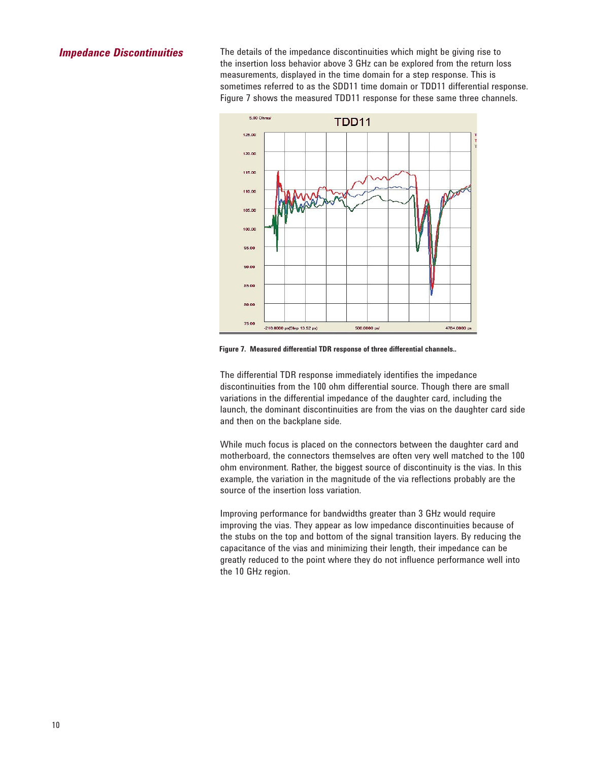### *Impedance Discontinuities*

The details of the impedance discontinuities which might be giving rise to the insertion loss behavior above 3 GHz can be explored from the return loss measurements, displayed in the time domain for a step response. This is sometimes referred to as the SDD11 time domain or TDD11 differential response. Figure 7 shows the measured TDD11 response for these same three channels.



**Figure 7. Measured differential TDR response of three differential channels..**

The differential TDR response immediately identifies the impedance discontinuities from the 100 ohm differential source. Though there are small variations in the differential impedance of the daughter card, including the launch, the dominant discontinuities are from the vias on the daughter card side and then on the backplane side.

While much focus is placed on the connectors between the daughter card and motherboard, the connectors themselves are often very well matched to the 100 ohm environment. Rather, the biggest source of discontinuity is the vias. In this example, the variation in the magnitude of the via reflections probably are the source of the insertion loss variation.

Improving performance for bandwidths greater than 3 GHz would require improving the vias. They appear as low impedance discontinuities because of the stubs on the top and bottom of the signal transition layers. By reducing the capacitance of the vias and minimizing their length, their impedance can be greatly reduced to the point where they do not influence performance well into the 10 GHz region.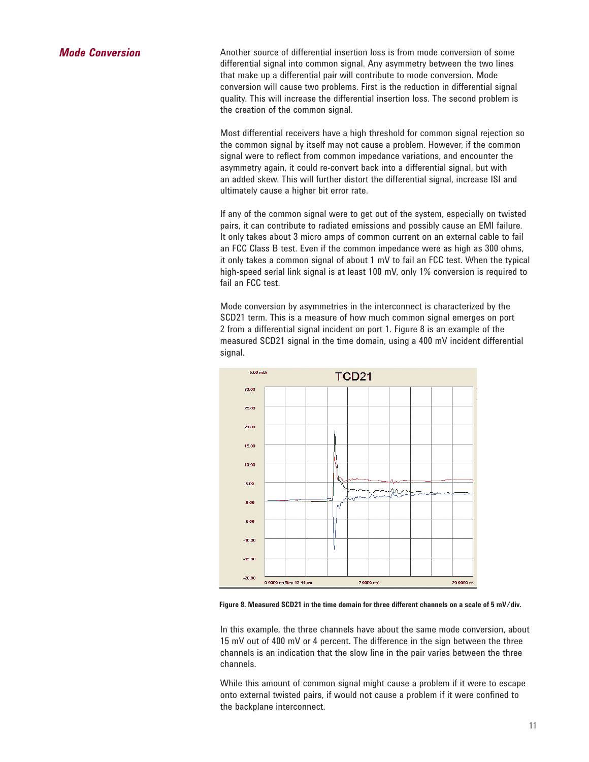*Mode Conversion* Another source of differential insertion loss is from mode conversion of some differential signal into common signal. Any asymmetry between the two lines that make up a differential pair will contribute to mode conversion. Mode conversion will cause two problems. First is the reduction in differential signal quality. This will increase the differential insertion loss. The second problem is the creation of the common signal.

> Most differential receivers have a high threshold for common signal rejection so the common signal by itself may not cause a problem. However, if the common signal were to reflect from common impedance variations, and encounter the asymmetry again, it could re-convert back into a differential signal, but with an added skew. This will further distort the differential signal, increase ISI and ultimately cause a higher bit error rate.

If any of the common signal were to get out of the system, especially on twisted pairs, it can contribute to radiated emissions and possibly cause an EMI failure. It only takes about 3 micro amps of common current on an external cable to fail an FCC Class B test. Even if the common impedance were as high as 300 ohms, it only takes a common signal of about 1 mV to fail an FCC test. When the typical high-speed serial link signal is at least 100 mV, only 1% conversion is required to fail an FCC test.

Mode conversion by asymmetries in the interconnect is characterized by the SCD21 term. This is a measure of how much common signal emerges on port 2 from a differential signal incident on port 1. Figure 8 is an example of the measured SCD21 signal in the time domain, using a 400 mV incident differential signal.



**Figure 8. Measured SCD21 in the time domain for three different channels on a scale of 5 mV/div.**

In this example, the three channels have about the same mode conversion, about 15 mV out of 400 mV or 4 percent. The difference in the sign between the three channels is an indication that the slow line in the pair varies between the three channels.

While this amount of common signal might cause a problem if it were to escape onto external twisted pairs, if would not cause a problem if it were confined to the backplane interconnect.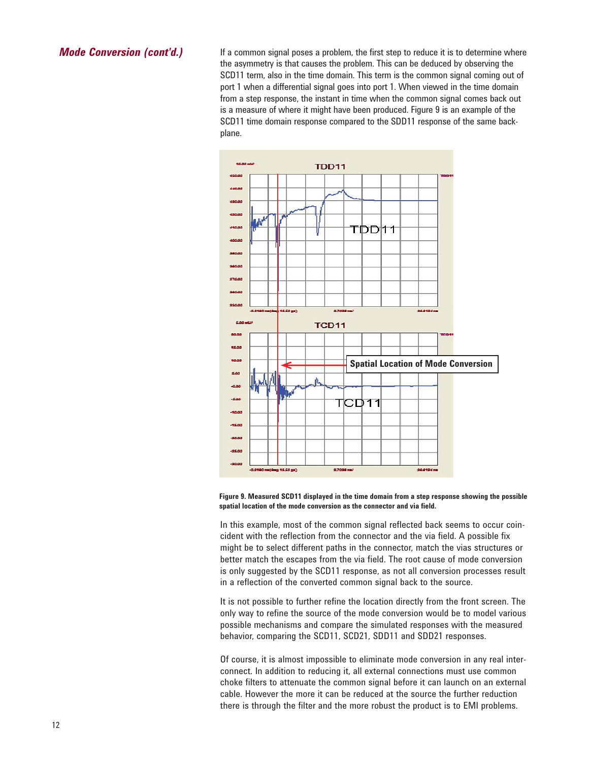*Mode Conversion (cont'd.)* If a common signal poses a problem, the first step to reduce it is to determine where the asymmetry is that causes the problem. This can be deduced by observing the SCD11 term, also in the time domain. This term is the common signal coming out of port 1 when a differential signal goes into port 1. When viewed in the time domain from a step response, the instant in time when the common signal comes back out is a measure of where it might have been produced. Figure 9 is an example of the SCD11 time domain response compared to the SDD11 response of the same backplane.



**Figure 9. Measured SCD11 displayed in the time domain from a step response showing the possible spatial location of the mode conversion as the connector and via field.**

In this example, most of the common signal reflected back seems to occur coincident with the reflection from the connector and the via field. A possible fix might be to select different paths in the connector, match the vias structures or better match the escapes from the via field. The root cause of mode conversion is only suggested by the SCD11 response, as not all conversion processes result in a reflection of the converted common signal back to the source.

It is not possible to further refine the location directly from the front screen. The only way to refine the source of the mode conversion would be to model various possible mechanisms and compare the simulated responses with the measured behavior, comparing the SCD11, SCD21, SDD11 and SDD21 responses.

Of course, it is almost impossible to eliminate mode conversion in any real interconnect. In addition to reducing it, all external connections must use common choke filters to attenuate the common signal before it can launch on an external cable. However the more it can be reduced at the source the further reduction there is through the filter and the more robust the product is to EMI problems.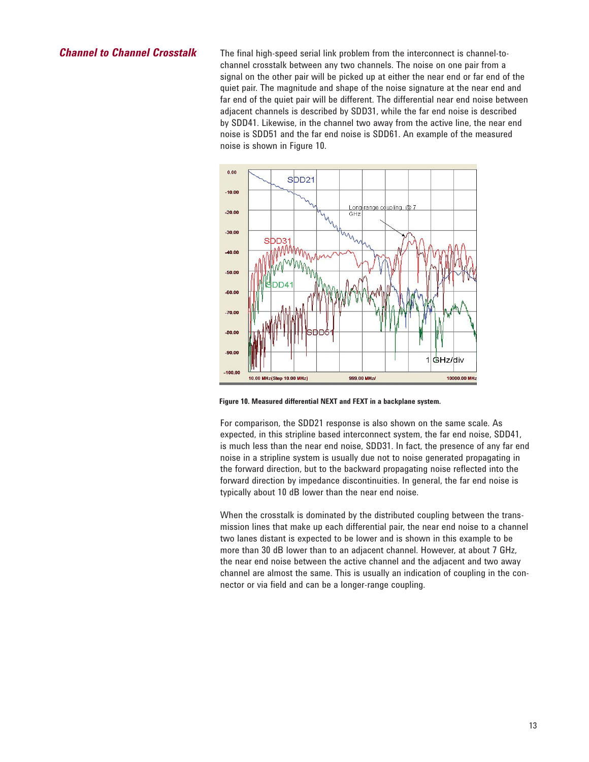*Channel to Channel Crosstalk* The final high-speed serial link problem from the interconnect is channel-tochannel crosstalk between any two channels. The noise on one pair from a signal on the other pair will be picked up at either the near end or far end of the quiet pair. The magnitude and shape of the noise signature at the near end and far end of the quiet pair will be different. The differential near end noise between adjacent channels is described by SDD31, while the far end noise is described by SDD41. Likewise, in the channel two away from the active line, the near end noise is SDD51 and the far end noise is SDD61. An example of the measured noise is shown in Figure 10.



**Figure 10. Measured differential NEXT and FEXT in a backplane system.**

For comparison, the SDD21 response is also shown on the same scale. As expected, in this stripline based interconnect system, the far end noise, SDD41, is much less than the near end noise, SDD31. In fact, the presence of any far end noise in a stripline system is usually due not to noise generated propagating in the forward direction, but to the backward propagating noise reflected into the forward direction by impedance discontinuities. In general, the far end noise is typically about 10 dB lower than the near end noise.

When the crosstalk is dominated by the distributed coupling between the transmission lines that make up each differential pair, the near end noise to a channel two lanes distant is expected to be lower and is shown in this example to be more than 30 dB lower than to an adjacent channel. However, at about 7 GHz, the near end noise between the active channel and the adjacent and two away channel are almost the same. This is usually an indication of coupling in the connector or via field and can be a longer-range coupling.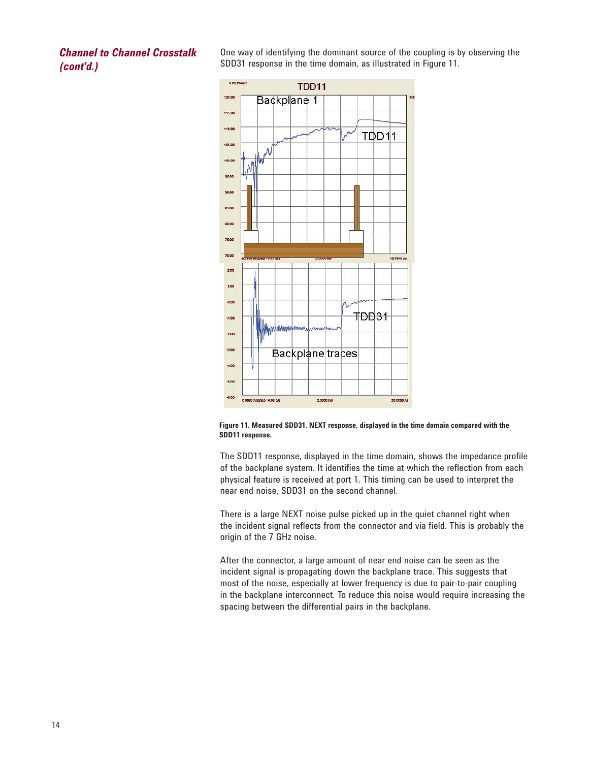*Channel to Channel Crosstalk (cont'd.)*

One way of identifying the dominant source of the coupling is by observing the SDD31 response in the time domain, as illustrated in Figure 11.





The SDD11 response, displayed in the time domain, shows the impedance profile of the backplane system. It identifies the time at which the reflection from each physical feature is received at port 1. This timing can be used to interpret the near end noise, SDD31 on the second channel.

There is a large NEXT noise pulse picked up in the quiet channel right when the incident signal reflects from the connector and via field. This is probably the origin of the 7 GHz noise.

After the connector, a large amount of near end noise can be seen as the incident signal is propagating down the backplane trace. This suggests that most of the noise, especially at lower frequency is due to pair-to-pair coupling in the backplane interconnect. To reduce this noise would require increasing the spacing between the differential pairs in the backplane.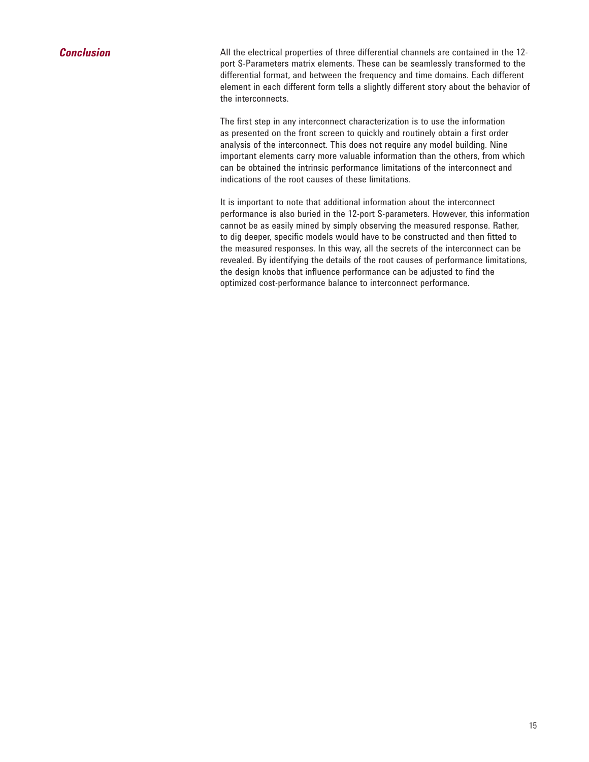# *Conclusion*

All the electrical properties of three differential channels are contained in the 12 port S-Parameters matrix elements. These can be seamlessly transformed to the differential format, and between the frequency and time domains. Each different element in each different form tells a slightly different story about the behavior of the interconnects.

The first step in any interconnect characterization is to use the information as presented on the front screen to quickly and routinely obtain a first order analysis of the interconnect. This does not require any model building. Nine important elements carry more valuable information than the others, from which can be obtained the intrinsic performance limitations of the interconnect and indications of the root causes of these limitations.

It is important to note that additional information about the interconnect performance is also buried in the 12-port S-parameters. However, this information cannot be as easily mined by simply observing the measured response. Rather, to dig deeper, specific models would have to be constructed and then fitted to the measured responses. In this way, all the secrets of the interconnect can be revealed. By identifying the details of the root causes of performance limitations, the design knobs that influence performance can be adjusted to find the optimized cost-performance balance to interconnect performance.